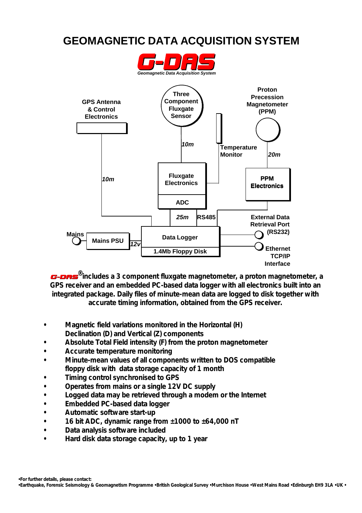### **GEOMAGNETIC DATA ACQUISITION SYSTEM**





*G-DA S* **®includes a 3 component fluxgate magnetometer, a proton magnetometer, a GPS receiver and an embedded PC-based data logger with all electronics built into an integrated package. Daily files of minute-mean data are logged to disk together with accurate timing information, obtained from the GPS receiver.**

- **Magnetic field variations monitored in the Horizontal (H) • Declination (D) and Vertical (Z) components**
- **Absolute Total Field intensity (F) from the proton magnetometer**
- **Accurate temperature monitoring**
- **Minute-mean values of all components written to DOS compatible • floppy disk with data storage capacity of 1 month**
- **Timing control synchronised to GPS**
- **Operates from mains or a single 12V DC supply**
- **Logged data may be retrieved through a modem or the Internet**
- **Embedded PC-based data logger**
- **Automatic software start-up**
- **16 bit ADC, dynamic range from ±1000 to ±64,000 nT**
- **Data analysis software included**
- **Hard disk data storage capacity, up to 1 year**

*<sup>•</sup> For further details, please contact:*

**<sup>•</sup> Earthquake, Forensic Seismology & Geomagnetism Programme • British Geological Survey • Murchison House • West Mains Road • Edinburgh EH9 3LA • UK •**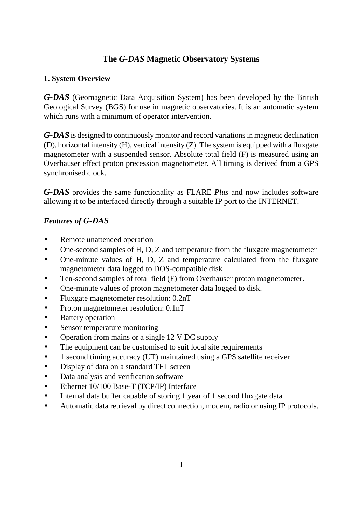#### **The** *G-DAS* **Magnetic Observatory Systems**

#### **1. System Overview**

*G-DAS* (Geomagnetic Data Acquisition System) has been developed by the British Geological Survey (BGS) for use in magnetic observatories. It is an automatic system which runs with a minimum of operator intervention.

*G-DAS* is designed to continuously monitor and record variations in magnetic declination (D), horizontal intensity (H), vertical intensity (Z). The system is equipped with a fluxgate magnetometer with a suspended sensor. Absolute total field (F) is measured using an Overhauser effect proton precession magnetometer. All timing is derived from a GPS synchronised clock.

*G-DAS* provides the same functionality as FLARE *Plus* and now includes software allowing it to be interfaced directly through a suitable IP port to the INTERNET.

#### *Features of G-DAS*

- Remote unattended operation
- One-second samples of H, D, Z and temperature from the fluxgate magnetometer
- One-minute values of H, D, Z and temperature calculated from the fluxgate magnetometer data logged to DOS-compatible disk
- Ten-second samples of total field (F) from Overhauser proton magnetometer.
- One-minute values of proton magnetometer data logged to disk.
- Fluxgate magnetometer resolution:  $0.2nT$
- Proton magnetometer resolution: 0.1nT
- Battery operation
- Sensor temperature monitoring
- Operation from mains or a single 12 V DC supply
- The equipment can be customised to suit local site requirements
- 1 second timing accuracy (UT) maintained using a GPS satellite receiver
- Display of data on a standard TFT screen
- Data analysis and verification software
- Ethernet 10/100 Base-T (TCP/IP) Interface
- Internal data buffer capable of storing 1 year of 1 second fluxgate data
- Automatic data retrieval by direct connection, modem, radio or using IP protocols.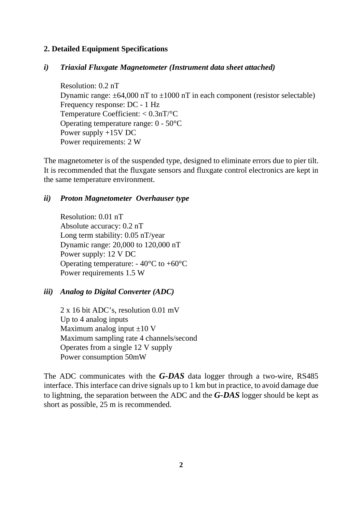#### **2. Detailed Equipment Specifications**

#### *i) Triaxial Fluxgate Magnetometer (Instrument data sheet attached)*

Resolution: 0.2 nT Dynamic range:  $\pm 64,000$  nT to  $\pm 1000$  nT in each component (resistor selectable) Frequency response: DC - 1 Hz Temperature Coefficient: < 0.3nT/°C Operating temperature range: 0 - 50°C Power supply +15V DC Power requirements: 2 W

The magnetometer is of the suspended type, designed to eliminate errors due to pier tilt. It is recommended that the fluxgate sensors and fluxgate control electronics are kept in the same temperature environment.

#### *ii) Proton Magnetometer Overhauser type*

Resolution: 0.01 nT Absolute accuracy: 0.2 nT Long term stability: 0.05 nT/year Dynamic range: 20,000 to 120,000 nT Power supply: 12 V DC Operating temperature:  $-40^{\circ}$ C to  $+60^{\circ}$ C Power requirements 1.5 W

#### *iii) Analog to Digital Converter (ADC)*

2 x 16 bit ADC's, resolution 0.01 mV Up to 4 analog inputs Maximum analog input  $\pm 10$  V Maximum sampling rate 4 channels/second Operates from a single 12 V supply Power consumption 50mW

The ADC communicates with the *G-DAS* data logger through a two-wire, RS485 interface. This interface can drive signals up to 1 km but in practice, to avoid damage due to lightning, the separation between the ADC and the *G-DAS* logger should be kept as short as possible, 25 m is recommended.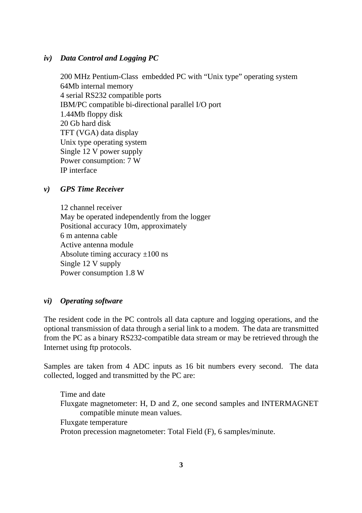#### *iv) Data Control and Logging PC*

200 MHz Pentium-Class embedded PC with "Unix type" operating system 64Mb internal memory 4 serial RS232 compatible ports IBM/PC compatible bi-directional parallel I/O port 1.44Mb floppy disk 20 Gb hard disk TFT (VGA) data display Unix type operating system Single 12 V power supply Power consumption: 7 W IP interface

#### *v) GPS Time Receiver*

12 channel receiver May be operated independently from the logger Positional accuracy 10m, approximately 6 m antenna cable Active antenna module Absolute timing accuracy  $\pm 100$  ns Single 12 V supply Power consumption 1.8 W

#### *vi) Operating software*

The resident code in the PC controls all data capture and logging operations, and the optional transmission of data through a serial link to a modem. The data are transmitted from the PC as a binary RS232-compatible data stream or may be retrieved through the Internet using ftp protocols.

Samples are taken from 4 ADC inputs as 16 bit numbers every second. The data collected, logged and transmitted by the PC are:

Time and date Fluxgate magnetometer: H, D and Z, one second samples and INTERMAGNET compatible minute mean values. Fluxgate temperature Proton precession magnetometer: Total Field (F), 6 samples/minute.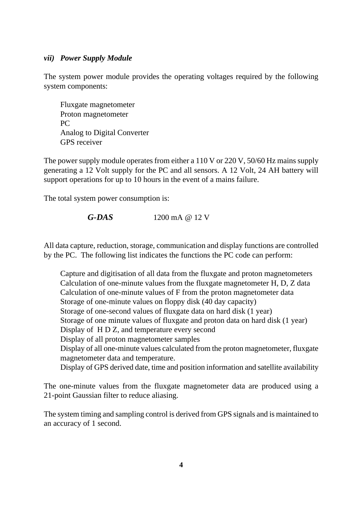#### *vii) Power Supply Module*

The system power module provides the operating voltages required by the following system components:

Fluxgate magnetometer Proton magnetometer PC Analog to Digital Converter GPS receiver

The power supply module operates from either a 110 V or 220 V, 50/60 Hz mains supply generating a 12 Volt supply for the PC and all sensors. A 12 Volt, 24 AH battery will support operations for up to 10 hours in the event of a mains failure.

The total system power consumption is:

$$
G-DAS \t1200 mA @ 12 V
$$

All data capture, reduction, storage, communication and display functions are controlled by the PC. The following list indicates the functions the PC code can perform:

Capture and digitisation of all data from the fluxgate and proton magnetometers Calculation of one-minute values from the fluxgate magnetometer H, D, Z data Calculation of one-minute values of F from the proton magnetometer data Storage of one-minute values on floppy disk (40 day capacity) Storage of one-second values of fluxgate data on hard disk (1 year) Storage of one minute values of fluxgate and proton data on hard disk (1 year) Display of H D Z, and temperature every second Display of all proton magnetometer samples Display of all one-minute values calculated from the proton magnetometer, fluxgate magnetometer data and temperature. Display of GPS derived date, time and position information and satellite availability

The one-minute values from the fluxgate magnetometer data are produced using a 21-point Gaussian filter to reduce aliasing.

The system timing and sampling control is derived from GPS signals and is maintained to an accuracy of 1 second.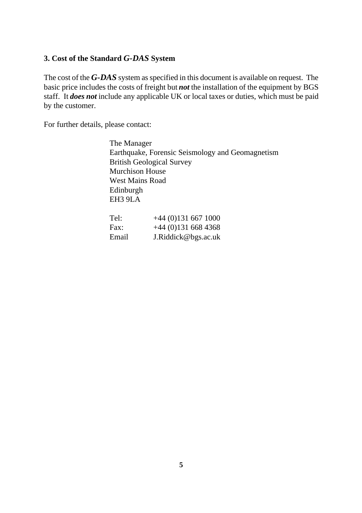#### **3. Cost of the Standard** *G-DAS* **System**

The cost of the *G-DAS* system as specified in this document is available on request. The basic price includes the costs of freight but *not* the installation of the equipment by BGS staff. It *does not* include any applicable UK or local taxes or duties, which must be paid by the customer.

For further details, please contact:

The Manager Earthquake, Forensic Seismology and Geomagnetism British Geological Survey Murchison House West Mains Road Edinburgh EH3 9LA

| Tel:  | $+44(0)1316671000$  |
|-------|---------------------|
| Fax:  | $+44(0)1316684368$  |
| Email | J.Riddick@bgs.ac.uk |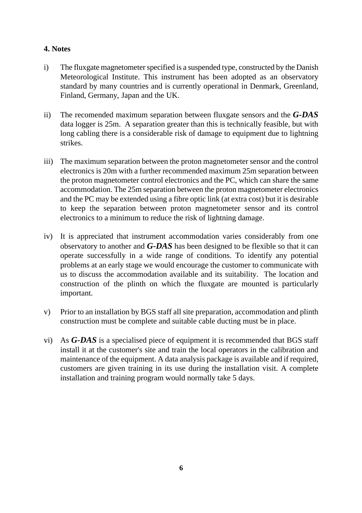#### **4. Notes**

- i) The fluxgate magnetometer specified is a suspended type, constructed by the Danish Meteorological Institute. This instrument has been adopted as an observatory standard by many countries and is currently operational in Denmark, Greenland, Finland, Germany, Japan and the UK.
- ii) The recomended maximum separation between fluxgate sensors and the *G-DAS* data logger is 25m. A separation greater than this is technically feasible, but with long cabling there is a considerable risk of damage to equipment due to lightning strikes.
- iii) The maximum separation between the proton magnetometer sensor and the control electronics is 20m with a further recommended maximum 25m separation between the proton magnetometer control electronics and the PC, which can share the same accommodation. The 25m separation between the proton magnetometer electronics and the PC may be extended using a fibre optic link (at extra cost) but it is desirable to keep the separation between proton magnetometer sensor and its control electronics to a minimum to reduce the risk of lightning damage.
- iv) It is appreciated that instrument accommodation varies considerably from one observatory to another and *G-DAS* has been designed to be flexible so that it can operate successfully in a wide range of conditions. To identify any potential problems at an early stage we would encourage the customer to communicate with us to discuss the accommodation available and its suitability. The location and construction of the plinth on which the fluxgate are mounted is particularly important.
- v) Prior to an installation by BGS staff all site preparation, accommodation and plinth construction must be complete and suitable cable ducting must be in place.
- vi) As *G-DAS* is a specialised piece of equipment it is recommended that BGS staff install it at the customer's site and train the local operators in the calibration and maintenance of the equipment. A data analysis package is available and if required, customers are given training in its use during the installation visit. A complete installation and training program would normally take 5 days.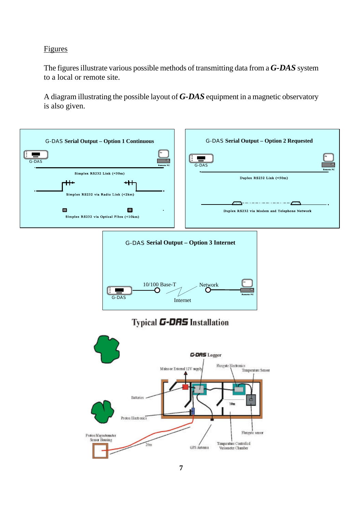#### Figures

The figures illustrate various possible methods of transmitting data from a *G-DAS* system to a local or remote site.

A diagram illustrating the possible layout of *G-DAS* equipment in a magnetic observatory is also given.

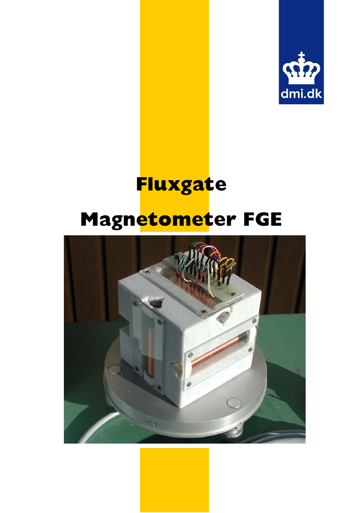

# **Fluxgate Magnetometer FGE**

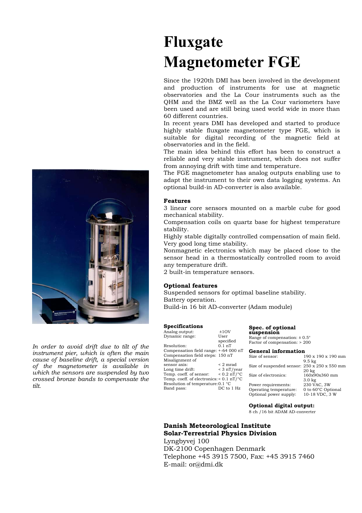*In order to avoid drift due to tilt of the instrument pier, which is often the main cause of baseline drift, a special version of the magnetometer is available in which the sensors are suspended by two crossed bronze bands to compensate the tilt.* 

### **Fluxgate Magnetometer FGE**

Since the 1920th DMI has been involved in the development and production of instruments for use at magnetic observatories and the La Cour instruments such as the QHM and the BMZ well as the La Cour variometers have been used and are still being used world wide in more than 60 different countries.

In recent years DMI has developed and started to produce highly stable fluxgate magnetometer type FGE, which is suitable for digital recording of the magnetic field at observatories and in the field.

The main idea behind this effort has been to construct a reliable and very stable instrument, which does not suffer from annoying drift with time and temperature.

The FGE magnetometer has analog outputs enabling use to adapt the instrument to their own data logging systems. An optional build-in AD-converter is also available.

#### **Features**

3 linear core sensors mounted on a marble cube for good mechanical stability.

Compensation coils on quartz base for highest temperature stability.

Highly stable digitally controlled compensation of main field. Very good long time stability.

Nonmagnetic electronics which may be placed close to the sensor head in a thermostatically controlled room to avoid any temperature drift.

2 built-in temperature sensors.

#### **Optional features**

Suspended sensors for optimal baseline stability. Battery operation.

Build-in 16 bit AD-converter (Adam module)

#### **Specifications**

| Analog output:                                       | ±10V                   |  |
|------------------------------------------------------|------------------------|--|
| Dynamic range:                                       | User                   |  |
|                                                      | specified              |  |
| Resolution:                                          | 01nT                   |  |
| Compensation field range: +-64 000 nT                |                        |  |
| Compensation field steps: 150 nT                     |                        |  |
| Misalignment of                                      |                        |  |
| sensor axis:                                         | $\leq 2$ mrad          |  |
| Long time drift:                                     | $<$ 3 nT/year          |  |
| Temp. coeff. of sensor:                              | $< 0.2 \text{ nT}$ /°C |  |
| Temp. coeff. of electronics: $< 0.1$ nT/ $\degree$ C |                        |  |
| Resolution of temperature: 0.1 °C                    |                        |  |
| Band pass:                                           | DC to 1 Hz             |  |

**Spec. of optional suspension** 

Range of compensation: ± 0.5° Factor of compensation: > 200

| <b>General information</b>                   |  |  |
|----------------------------------------------|--|--|
| 190 x 190 x 190 mm                           |  |  |
| $9.5 \text{ kg}$                             |  |  |
| Size of suspended sensor: 250 x 250 x 550 mm |  |  |
| 20 <sub>kg</sub>                             |  |  |
| 160x90x360 mm                                |  |  |
| 3.0 <sub>kg</sub>                            |  |  |
| 230 VAC, 3W                                  |  |  |
| 0 to 60°C Optional                           |  |  |
| 10-18 VDC, 3 W                               |  |  |
|                                              |  |  |

#### **Optional digital output:**

8 ch /16 bit ADAM AD-converter

#### **Danish Meteorological Institute Solar-Terrestrial Physics Division**

Lyngbyvej 100 DK-2100 Copenhagen Denmark Telephone +45 3915 7500, Fax: +45 3915 7460 E-mail: or@dmi.dk